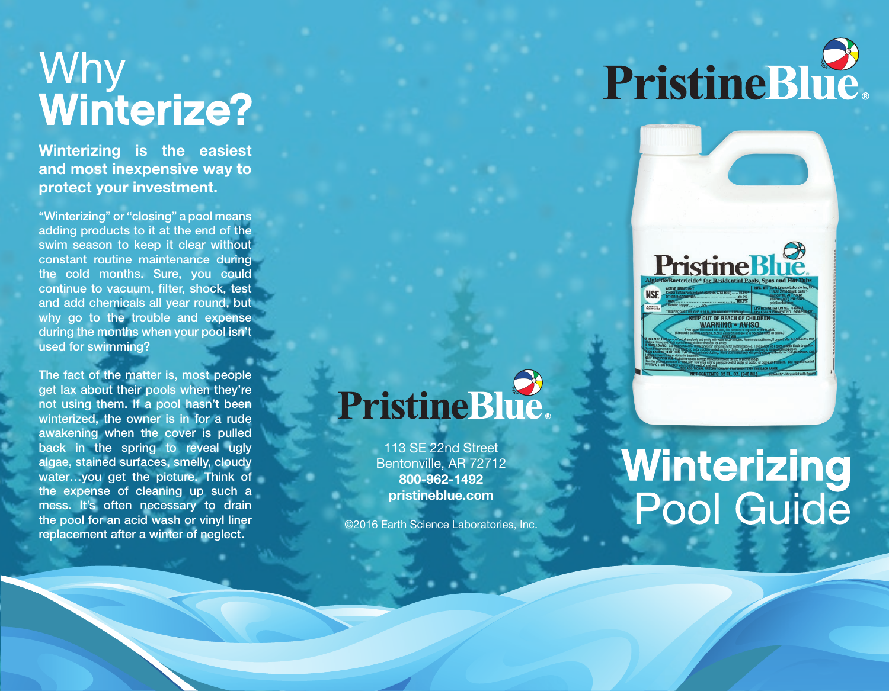### Why **Winterize?**

**Winterizing is the easiest and most inexpensive way to protect your investment.**

"Winterizing" or "closing" a pool means adding products to it at the end of the swim season to keep it clear without constant routine maintenance during the cold months. Sure, you could continue to vacuum, filter, shock, test and add chemicals all year round, but why go to the trouble and expense during the months when your pool isn't used for swimming?

The fact of the matter is, most people get lax about their pools when they're not using them. If a pool hasn't been winterized, the owner is in for a rude awakening when the cover is pulled back in the spring to reveal ugly algae, stained surfaces, smelly, cloudy water…you get the picture. Think of the expense of cleaning up such a mess. It's often necessary to drain the pool for an acid wash or vinyl liner replacement after a winter of neglect.

## PristineBlue.



## PristineBlue.

113 SE 22nd Street Bentonville, AR 72712 **800-962-1492 pristineblue.com**

©2016 Earth Science Laboratories, Inc.

# **Winterizing<br>Pool Guide**